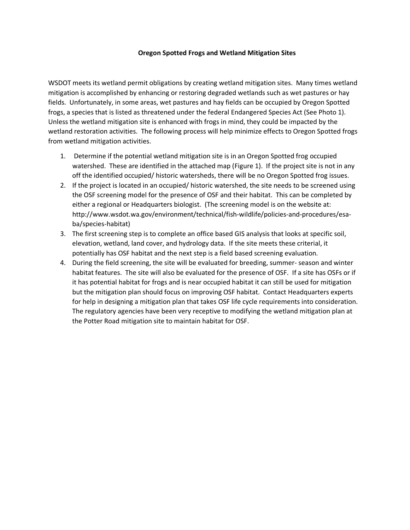## **Oregon Spotted Frogs and Wetland Mitigation Sites**

WSDOT meets its wetland permit obligations by creating wetland mitigation sites. Many times wetland mitigation is accomplished by enhancing or restoring degraded wetlands such as wet pastures or hay fields. Unfortunately, in some areas, wet pastures and hay fields can be occupied by Oregon Spotted frogs, a species that is listed as threatened under the federal Endangered Species Act (See Photo 1). Unless the wetland mitigation site is enhanced with frogs in mind, they could be impacted by the wetland restoration activities. The following process will help minimize effects to Oregon Spotted frogs from wetland mitigation activities.

- 1. Determine if the potential wetland mitigation site is in an Oregon Spotted frog occupied watershed. These are identified in the attached map (Figure 1). If the project site is not in any off the identified occupied/ historic watersheds, there will be no Oregon Spotted frog issues.
- 2. If the project is located in an occupied/ historic watershed, the site needs to be screened using the OSF screening model for the presence of OSF and their habitat. This can be completed by either a regional or Headquarters biologist. (The screening model is on the website at: http://www.wsdot.wa.gov/environment/technical/fish-wildlife/policies-and-procedures/esaba/species-habitat)
- 3. The first screening step is to complete an office based GIS analysis that looks at specific soil, elevation, wetland, land cover, and hydrology data. If the site meets these criterial, it potentially has OSF habitat and the next step is a field based screening evaluation.
- 4. During the field screening, the site will be evaluated for breeding, summer- season and winter habitat features. The site will also be evaluated for the presence of OSF. If a site has OSFs or if it has potential habitat for frogs and is near occupied habitat it can still be used for mitigation but the mitigation plan should focus on improving OSF habitat. Contact Headquarters experts for help in designing a mitigation plan that takes OSF life cycle requirements into consideration. The regulatory agencies have been very receptive to modifying the wetland mitigation plan at the Potter Road mitigation site to maintain habitat for OSF.